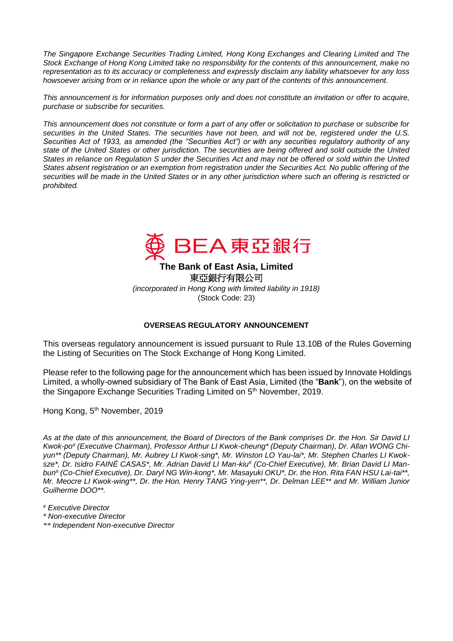*The Singapore Exchange Securities Trading Limited, Hong Kong Exchanges and Clearing Limited and The Stock Exchange of Hong Kong Limited take no responsibility for the contents of this announcement, make no representation as to its accuracy or completeness and expressly disclaim any liability whatsoever for any loss howsoever arising from or in reliance upon the whole or any part of the contents of this announcement.*

*This announcement is for information purposes only and does not constitute an invitation or offer to acquire, purchase or subscribe for securities.*

*This announcement does not constitute or form a part of any offer or solicitation to purchase or subscribe for securities in the United States. The securities have not been, and will not be, registered under the U.S. Securities Act of 1933, as amended (the "Securities Act") or with any securities regulatory authority of any state of the United States or other jurisdiction. The securities are being offered and sold outside the United States in reliance on Regulation S under the Securities Act and may not be offered or sold within the United States absent registration or an exemption from registration under the Securities Act. No public offering of the securities will be made in the United States or in any other jurisdiction where such an offering is restricted or prohibited.*



**The Bank of East Asia, Limited**  東亞銀行有限公司 *(incorporated in Hong Kong with limited liability in 1918)*

(Stock Code: 23)

## **OVERSEAS REGULATORY ANNOUNCEMENT**

This overseas regulatory announcement is issued pursuant to Rule 13.10B of the Rules Governing the Listing of Securities on The Stock Exchange of Hong Kong Limited.

Please refer to the following page for the announcement which has been issued by Innovate Holdings Limited, a wholly-owned subsidiary of The Bank of East Asia, Limited (the "**Bank**"), on the website of the Singapore Exchange Securities Trading Limited on 5<sup>th</sup> November, 2019.

Hong Kong, 5<sup>th</sup> November, 2019

*As at the date of this announcement, the Board of Directors of the Bank comprises Dr. the Hon. Sir David LI Kwok-po# (Executive Chairman), Professor Arthur LI Kwok-cheung\* (Deputy Chairman), Dr. Allan WONG Chiyun\*\* (Deputy Chairman), Mr. Aubrey LI Kwok-sing\*, Mr. Winston LO Yau-lai\*, Mr. Stephen Charles LI Kwoksze\*, Dr. Isidro FAINÉ CASAS\*, Mr. Adrian David LI Man-kiu# (Co-Chief Executive), Mr. Brian David LI Manbun# (Co-Chief Executive), Dr. Daryl NG Win-kong\*, Mr. Masayuki OKU\*, Dr. the Hon. Rita FAN HSU Lai-tai\*\*, Mr. Meocre LI Kwok-wing\*\*, Dr. the Hon. Henry TANG Ying-yen\*\*, Dr. Delman LEE\*\* and Mr. William Junior Guilherme DOO\*\*.*

- *# Executive Director*
- *\* Non-executive Director*
- *\*\* Independent Non-executive Director*